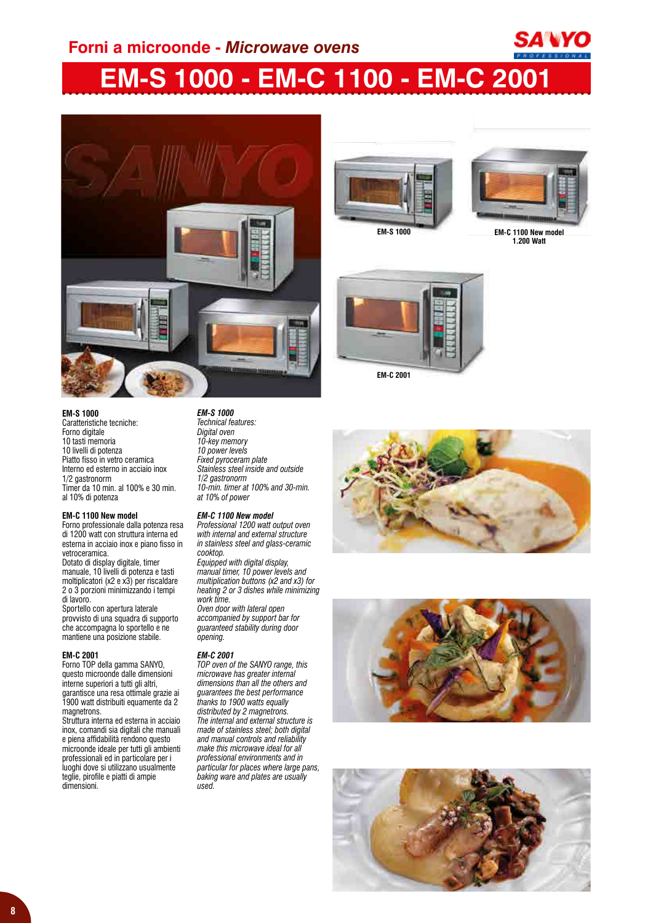### **Forni a microonde -** *Microwave ovens*



## **EM-S 1000 - EM-C 1100 - EM-C 2001**









**1.200 Watt**



**EM-C 2001**

**EM-S 1000**

Caratteristiche tecniche: Forno digitale 10 tasti memoria 10 livelli di potenza Piatto fisso in vetro ceramica Interno ed esterno in acciaio inox 1/2 gastronorm Timer da 10 min. al 100% e 30 min. al 10% di potenza

#### **EM-C 1100 New model**

Forno professionale dalla potenza resa di 1200 watt con struttura interna ed esterna in acciaio inox e piano fisso in vetroceramica.

Dotato di display digitale, timer manuale, 10 livelli di potenza e tasti moltiplicatori (x2 e x3) per riscaldare 2 o 3 porzioni minimizzando i tempi di lavoro.

Sportello con apertura laterale provvisto di una squadra di supporto che accompagna lo sportello e ne mantiene una posizione stabile.

#### **EM-C 2001**

Forno TOP della gamma SANYO, questo microonde dalle dimensioni interne superiori a tutti gli altri, garantisce una resa ottimale grazie ai 1900 watt distribuiti equamente da 2 magnetrons.

Struttura interna ed esterna in acciaio inox, comandi sia digitali che manuali e piena affidabilità rendono questo microonde ideale per tutti gli ambienti professionali ed in particolare per i luoghi dove si utilizzano usualmente teglie, pirofile e piatti di ampie dimensioni.

#### *EM-S 1000*

*Technical features: Digital oven 10-key memory 10 power levels Fixed pyroceram plate Stainless steel inside and outside 1/2 gastronorm 10-min. timer at 100% and 30-min. at 10% of power*

#### *EM-C 1100 New model*

*Professional 1200 watt output oven with internal and external structure in stainless steel and glass-ceramic cooktop.*

*Equipped with digital display, manual timer, 10 power levels and multiplication buttons (x2 and x3) for heating 2 or 3 dishes while minimizing work time.*

*Oven door with lateral open accompanied by support bar for guaranteed stability during door opening.*

#### *EM-C 2001*

*TOP oven of the SANYO range, this microwave has greater internal dimensions than all the others and guarantees the best performance thanks to 1900 watts equally distributed by 2 magnetrons. The internal and external structure is made of stainless steel; both digital and manual controls and reliability make this microwave ideal for all professional environments and in particular for places where large pans, baking ware and plates are usually used.*